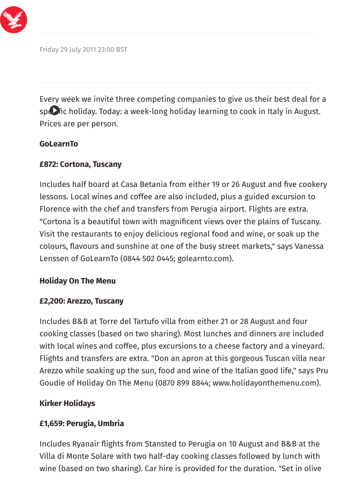

Friday 29 July 2011 23:00 BST

Every week we invite three competing companies to give us their best deal for a specific holiday. Today: a week-long holiday learning to cook in Italy in August. Prices are per person.

### **GoLearnTo**

## **£872: Cortona, Tuscany**

Includes half board at Casa Betania from either 19 or 26 August and five cookery lessons. Local wines and coffee are also included, plus a guided excursion to Florence with the chef and transfers from Perugia airport. Flights are extra. "Cortona is a beautiful town with magnificent views over the plains of Tuscany. Visit the restaurants to enjoy delicious regional food and wine, or soak up the colours, flavours and sunshine at one of the busy street markets," says Vanessa Lenssen of GoLearnTo (0844 502 0445; golearnto.com).

## **Holiday On The Menu**

## **£2,200: Arezzo, Tuscany**

Includes B&B at Torre del Tartufo villa from either 21 or 28 August and four cooking classes (based on two sharing). Most lunches and dinners are included with local wines and coffee, plus excursions to a cheese factory and a vineyard. Flights and transfers are extra. "Don an apron at this gorgeous Tuscan villa near Arezzo while soaking up the sun, food and wine of the Italian good life," says Pru Goudie of Holiday On The Menu (0870 899 8844; www.holidayonthemenu.com).

## **Kirker Holidays**

## **£1,659: Perugia, Umbria**

Includes Ryanair flights from Stansted to Perugia on 10 August and B&B at the Villa di Monte Solare with two half-day cooking classes followed by lunch with wine (based on two sharing). Car hire is provided for the duration. "Set in olive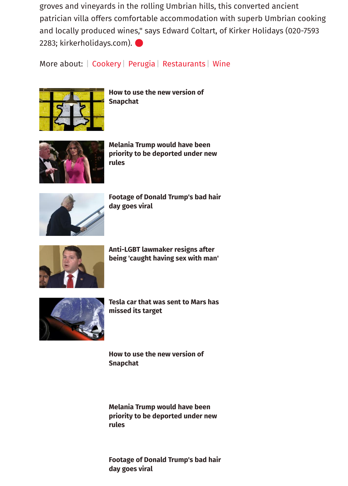groves and vineyards in the rolling Umbrian hills, this converted ancient patrician villa offers comfortable accommodation with superb Umbrian cooking and locally produced wines," says Edward Coltart, of Kirker Holidays (020-7593 2283; kirkerholidays.com).

More about: | [Cookery](http://www.independent.co.uk/topic/Cookery) | [Perugia](http://www.independent.co.uk/topic/Perugia) | [Restaurants](http://www.independent.co.uk/topic/Restaurants) | [Wine](http://www.independent.co.uk/topic/Wine)



**[How to use the new version of](http://www.independent.co.uk/life-style/gadgets-and-tech/news/snapchat-latest-update-how-change-to-use-app-redesign-messages-a8198456.html) Snapchat**



**Melania Trump would have been [priority to be deported under new](http://www.independent.co.uk/news/world/americas/melania-trump-first-lady-deportation-priority-donald-immigration-rules-modelling-work-visa-us-a7597221.html) rules**



**[Footage of Donald Trump's bad hair](http://www.independent.co.uk/news/world/americas/us-politics/trump-bad-hair-day-footage-video-wind-plane-viral-a8199886.html) day goes viral**



**Anti-LGBT lawmaker resigns after [being 'caught having sex with man'](http://www.independent.co.uk/news/world/americas/lawmaker-wes-goodman-anti-lgbt-resigns-sex-man-office-caught-ohio-republican-christian-family-values-a8060631.html)**



**[Tesla car that was sent to Mars has](http://www.independent.co.uk/life-style/gadgets-and-tech/news/spacex-launch-tesla-roadster-car-mars-elon-musk-asteroid-orbit-trajectory-missed-a8199186.html) missed its target**

**[How to use the new version of](http://www.independent.co.uk/life-style/gadgets-and-tech/news/snapchat-latest-update-how-change-to-use-app-redesign-messages-a8198456.html) Snapchat**

**Melania Trump would have been [priority to be deported under new](http://www.independent.co.uk/news/world/americas/melania-trump-first-lady-deportation-priority-donald-immigration-rules-modelling-work-visa-us-a7597221.html) rules**

**[Footage of Donald Trump's bad hair](http://www.independent.co.uk/news/world/americas/us-politics/trump-bad-hair-day-footage-video-wind-plane-viral-a8199886.html) day goes viral**